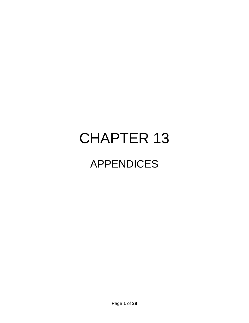# CHAPTER 13 APPENDICES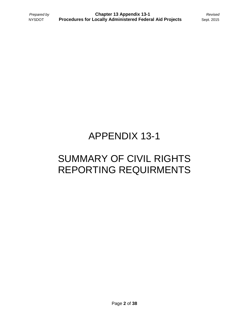### APPENDIX 13-1

### SUMMARY OF CIVIL RIGHTS REPORTING REQUIRMENTS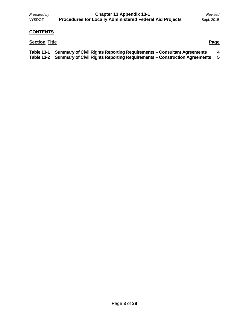*Prepared by* **Chapter 13 Appendix 13-1** *Revised* NYSDOT **Procedures for Locally Administered Federal Aid Projects** Sept. 2015

#### **CONTENTS**

#### **Section Title Page**

| Table 13-1 Summary of Civil Rights Reporting Requirements – Consultant Agreements   |  |
|-------------------------------------------------------------------------------------|--|
| Table 13-2 Summary of Civil Rights Reporting Requirements – Construction Agreements |  |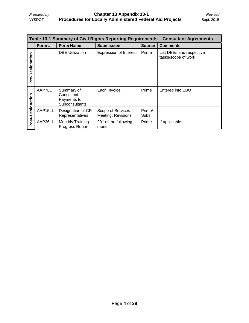| Table 13-1 Summary of Civil Rights Reporting Requirements – Consultant Agreements |         |                                                           |                                         |                       |                                                 |
|-----------------------------------------------------------------------------------|---------|-----------------------------------------------------------|-----------------------------------------|-----------------------|-------------------------------------------------|
|                                                                                   | Form#   | <b>Form Name</b>                                          | <b>Submission</b>                       | <b>Source</b>         | <b>Comments</b>                                 |
| Pre-Designation                                                                   |         | <b>DBE Utilization</b>                                    | <b>Expression of Interest</b>           | Prime                 | List DBEs and respective<br>tasks/scope of work |
| Post-Designation                                                                  | AAP7LL  | Summary of<br>Consultant<br>Payments to<br>Subconsultants | Each Invoice                            | Prime                 | Entered into EBO                                |
|                                                                                   | AAP15LL | Designation of CR<br>Representatives                      | Scope of Services<br>Meeting; Revisions | Prime/<br><b>Subs</b> |                                                 |
|                                                                                   | AAP26LL | Monthly Training<br>Progress Report                       | $20th$ of the following<br>month        | Prime                 | If applicable                                   |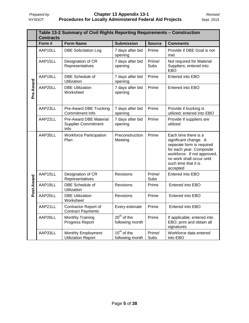|            | Table 13-2 Summary of Civil Rights Reporting Requirements - Construction<br><b>Contracts</b> |                                                              |                                  |                       |                                                                                                                                                                                                        |
|------------|----------------------------------------------------------------------------------------------|--------------------------------------------------------------|----------------------------------|-----------------------|--------------------------------------------------------------------------------------------------------------------------------------------------------------------------------------------------------|
|            | Form #                                                                                       | <b>Form Name</b>                                             | <b>Submission</b>                | <b>Source</b>         | <b>Comments</b>                                                                                                                                                                                        |
|            | AAP10LL                                                                                      | <b>DBE Solicitation Log</b>                                  | 7 days after bid<br>opening      | Prime                 | Provide if DBE Goal is not<br>met                                                                                                                                                                      |
|            | AAP15LL                                                                                      | Designation of CR<br>Representatives                         | 7 days after bid<br>opening      | Prime/<br><b>Subs</b> | Not required for Material<br>Suppliers; entered into<br><b>EBO</b>                                                                                                                                     |
|            | AAP19LL                                                                                      | DBE Schedule of<br>Utilization                               | 7 days after bid<br>opening      | Prime                 | Entered into EBO                                                                                                                                                                                       |
| Pre-Award  | AAP20LL                                                                                      | <b>DBE Utilization</b><br>Worksheet                          | 7 days after bid<br>opening      | Prime                 | Entered into EBO                                                                                                                                                                                       |
|            | AAP23LL                                                                                      | Pre-Award DBE Trucking<br>Commitment Info                    | 7 days after bid<br>opening      | Prime                 | Provide if trucking is<br>utilized; entered into EBO                                                                                                                                                   |
|            | AAP22LL                                                                                      | Pre-Award DBE Material<br><b>Supplier Commitment</b><br>Info | 7 days after bid<br>opening      | Prime                 | Provide if suppliers are<br>utilized                                                                                                                                                                   |
|            | AAP35LL                                                                                      | <b>Workforce Participation</b><br>Plan                       | Preconstruction<br>Meeting       | Prime                 | Each time there is a<br>significant change. A<br>separate form is required<br>for each year. Composite<br>workforce. If not approved,<br>no work shall occur until<br>such time that it is<br>accepted |
|            | AAP15LL                                                                                      | Designation of CR<br>Representatives                         | <b>Revisions</b>                 | Prime/<br><b>Subs</b> | Entered into EBO                                                                                                                                                                                       |
| Post-Award | AAP19LL                                                                                      | DBE Schedule of<br>Utilization                               | <b>Revisions</b>                 | Prime                 | Entered into EBO                                                                                                                                                                                       |
|            | AAP20LL                                                                                      | <b>DBE Utilization</b><br>Worksheet                          | <b>Revisions</b>                 | Prime                 | Entered into EBO                                                                                                                                                                                       |
|            | AAP21LL                                                                                      | Contractor Report of<br><b>Contract Payments</b>             | Every estimate                   | Prime                 | Entered into EBO                                                                                                                                                                                       |
|            | AAP26LL                                                                                      | <b>Monthly Training</b><br>Progress Report                   | $20th$ of the<br>following month | Prime                 | If applicable; entered into<br>EBO; print and obtain all<br>signatures                                                                                                                                 |
|            | AAP33LL                                                                                      | Monthly Employment<br><b>Utilization Report</b>              | $15th$ of the<br>following month | Prime/<br>Subs        | Workforce data entered<br>into EBO                                                                                                                                                                     |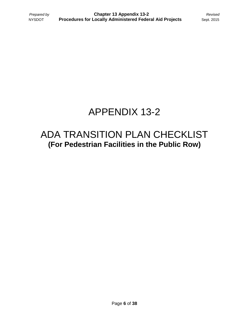### APPENDIX 13-2

### ADA TRANSITION PLAN CHECKLIST **(For Pedestrian Facilities in the Public Row)**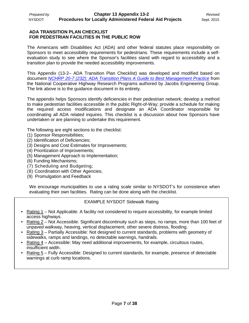#### **ADA TRANSITION PLAN CHECKLIST FOR PEDESTRIAN FACILITIES IN THE PUBLIC ROW**

The Americans with Disabilities Act (ADA) and other federal statutes place responsibility on Sponsors to meet accessibility requirements for pedestrians. These requirements include a selfevaluation study to see where the Sponsor's facilities stand with regard to accessibility and a transition plan to provide the needed accessibility improvements.

This Appendix (13-2– ADA Transition Plan Checklist) was developed and modified based on document *[NCHRP 20-7 \(232\): ADA Transition Plans A Guide to Best Management Practice](http://www.wsdot.wa.gov/NR/rdonlyres/A5D74E2E-3C9F-4645-BBE0-14C5BB780AD0/0/ADATransitionPlansReportMay2009.pdf)* from the National Cooperative Highway Research Programs authored by Jacobs Engineering Group. The link above is to the guidance document in its entirety.

The appendix helps Sponsors identify deficiencies in their pedestrian network; develop a method to make pedestrian facilities accessible in the public Right-of-Way; provide a schedule for making the required access modifications and designate an ADA Coordinator responsible for coordinating all ADA related inquires. This checklist is a discussion about how Sponsors have undertaken or are planning to undertake this requirement.

The following are eight sections to the checklist:

- (1) Sponsor Responsibilities;
- (2) Identification of Deficiencies;
- (3) Designs and Cost Estimates for Improvements;
- (4) Prioritization of Improvements;
- (5) Management Approach to Implementation;
- (6) Funding Mechanisms;
- (7) Scheduling and Budgeting;
- (8) Coordination with Other Agencies;
- (9) Promulgation and Feedback

We encourage municipalities to use a rating scale similar to NYSDOT's for consistence when evaluating their own facilities. Rating can be done along with the checklist.

#### EXAMPLE NYSDOT Sidewalk Rating

- Rating 1 Not Applicable: A facility not considered to require accessibility, for example limited access highways.
- Rating 2 Not Accessible: Significant discontinuity such as steps, no ramps, more than 100 feet of unpaved walkway, heaving, vertical displacement, other severe distress, flooding.
- Rating 3 Partially Accessible: Not designed to current standards, problems with geometry of sidewalks, ramps and landings, no detectable warnings, handrails.
- Rating 4 Accessible: May need additional improvements, for example, circuitous routes, insufficient width.
- Rating 5 Fully Accessible: Designed to current standards, for example, presence of detectable warnings at curb ramp locations.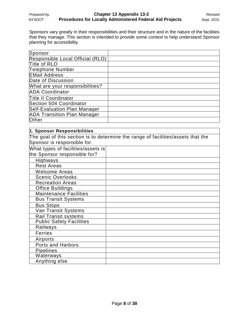Sponsors vary greatly in their responsibilities and their structure and in the nature of the facilities that they manage. This section is intended to provide some context to help understand Sponsor planning for accessibility.

| Sponsor                            |  |
|------------------------------------|--|
| Responsible Local Official (RLO)   |  |
| Title of RLO                       |  |
| Telephone Number                   |  |
| <b>EMail Address</b>               |  |
| Date of Discussion                 |  |
| What are your responsibilities?    |  |
| <b>ADA Coordinator</b>             |  |
| <b>Title II Coordinator</b>        |  |
| Section 504 Coordinator            |  |
| Self-Evaluation Plan Manager       |  |
| <b>ADA Transition Plan Manager</b> |  |
| Other                              |  |

#### **1. Sponsor Responsibilities**

The goal of this section is to determine the range of facilities/assets that the Sponsor is responsible for.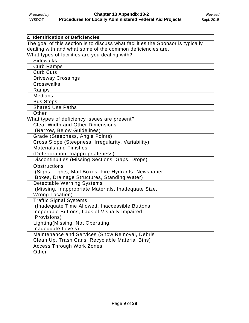| 2. Identification of Deficiencies                                               |  |
|---------------------------------------------------------------------------------|--|
| The goal of this section is to discuss what facilities the Sponsor is typically |  |
| dealing with and what some of the common deficiencies are.                      |  |
| What types of facilities are you dealing with?                                  |  |
| <b>Sidewalks</b>                                                                |  |
| <b>Curb Ramps</b>                                                               |  |
| <b>Curb Cuts</b>                                                                |  |
| <b>Driveway Crossings</b>                                                       |  |
| Crosswalks                                                                      |  |
| Ramps                                                                           |  |
| <b>Medians</b>                                                                  |  |
| <b>Bus Stops</b>                                                                |  |
| <b>Shared Use Paths</b>                                                         |  |
| Other                                                                           |  |
| What types of deficiency issues are present?                                    |  |
| <b>Clear Width and Other Dimensions</b>                                         |  |
| (Narrow, Below Guidelines)                                                      |  |
| Grade (Steepness, Angle Points)                                                 |  |
| Cross Slope (Steepness, Irregularity, Variability)                              |  |
| Materials and Finishes                                                          |  |
| (Deterioration, Inappropriateness)                                              |  |
| Discontinuities (Missing Sections, Gaps, Drops)                                 |  |
| Obstructions                                                                    |  |
| (Signs, Lights, Mail Boxes, Fire Hydrants, Newspaper                            |  |
| Boxes, Drainage Structures, Standing Water)                                     |  |
| <b>Detectable Warning Systems</b>                                               |  |
| (Missing, Inappropriate Materials, Inadequate Size,                             |  |
| <b>Wrong Location)</b>                                                          |  |
| <b>Traffic Signal Systems</b>                                                   |  |
| (Inadequate Time Allowed, Inaccessible Buttons,                                 |  |
| Inoperable Buttons, Lack of Visually Impaired                                   |  |
| Provisions)                                                                     |  |
| Lighting (Missing, Not Operating,                                               |  |
| Inadequate Levels)                                                              |  |
| Maintenance and Services (Snow Removal, Debris                                  |  |
| Clean Up, Trash Cans, Recyclable Material Bins)                                 |  |
| <b>Access Through Work Zones</b>                                                |  |
| Other                                                                           |  |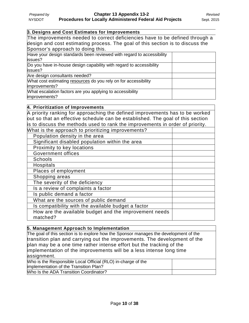#### **3. Designs and Cost Estimates for Improvements**

The improvements needed to correct deficiencies have to be defined through a design and cost estimating process. The goal of this section is to discuss the Sponsor's approach to doing this.

| Have your design standards been reviewed with regard to accessibility |  |
|-----------------------------------------------------------------------|--|
| issues?                                                               |  |
| Do you have in-house design capability with regard to accessibility   |  |
| issues?                                                               |  |
| Are design consultants needed?                                        |  |
| What cost estimating resources do you rely on for accessibility       |  |
| improvements?                                                         |  |
| What escalation factors are you applying to accessibility             |  |
| improvements?                                                         |  |
|                                                                       |  |

| 4. Prioritization of Improvements                                              |  |  |
|--------------------------------------------------------------------------------|--|--|
| A priority ranking for approaching the defined improvements has to be worked   |  |  |
| put so that an effective schedule can be established. The goal of this section |  |  |
| is to discuss the methods used to rank the improvements in order of priority.  |  |  |
| What is the approach to prioritizing improvements?                             |  |  |
| Population density in the area                                                 |  |  |
| Significant disabled population within the area                                |  |  |
| Proximity to key locations                                                     |  |  |
| <b>Government offices</b>                                                      |  |  |
| <b>Schools</b>                                                                 |  |  |
| <b>Hospitals</b>                                                               |  |  |
| Places of employment                                                           |  |  |
| Shopping areas                                                                 |  |  |
| The severity of the deficiency                                                 |  |  |
| Is a review of complaints a factor                                             |  |  |
| Is public demand a factor                                                      |  |  |
| What are the sources of public demand                                          |  |  |
| Is compatibility with the available budget a factor                            |  |  |
| How are the available budget and the improvement needs<br>matched?             |  |  |

| 5. Management Approach to Implementation                                              |  |  |
|---------------------------------------------------------------------------------------|--|--|
| The goal of this section is to explore how the Sponsor manages the development of the |  |  |
| transition plan and carrying out the improvements. The development of the             |  |  |
| plan may be a one time rather intense effort but the tracking of the                  |  |  |
| implementation of the improvements will be a less intense long time                   |  |  |
| assignment.                                                                           |  |  |
| Who is the Responsible Local Official (RLO) in-charge of the                          |  |  |
| implementation of the Transition Plan?                                                |  |  |
| Who Is the ADA Transition Coordinator?                                                |  |  |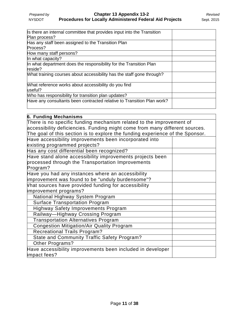| Is there an internal committee that provides input into the Transition |  |
|------------------------------------------------------------------------|--|
| Plan process?                                                          |  |
| Has any staff been assigned to the Transition Plan                     |  |
| Process?                                                               |  |
| How many staff persons?                                                |  |
| In what capacity?                                                      |  |
| In what department does the responsibility for the Transition Plan     |  |
| reside?                                                                |  |
| What training courses about accessibility has the staff gone through?  |  |
| What reference works about accessibility do you find                   |  |
| useful?                                                                |  |
| Who has responsibility for transition plan updates?                    |  |
| Have any consultants been contracted relative to Transition Plan work? |  |
|                                                                        |  |

| There is no specific funding mechanism related to the improvement of          |
|-------------------------------------------------------------------------------|
| accessibility deficiencies. Funding might come from many different sources.   |
| The goal of this section is to explore the funding experience of the Sponsor. |
|                                                                               |
|                                                                               |
|                                                                               |
|                                                                               |
|                                                                               |
|                                                                               |
|                                                                               |
|                                                                               |
|                                                                               |
|                                                                               |
|                                                                               |
|                                                                               |
|                                                                               |
|                                                                               |
|                                                                               |
|                                                                               |
|                                                                               |
|                                                                               |
|                                                                               |
|                                                                               |
|                                                                               |
|                                                                               |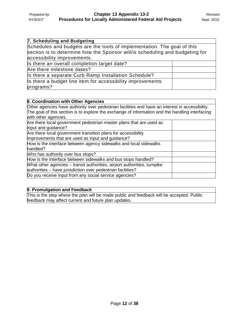| 7. Scheduling and Budgeting                                                                                                                                                            |  |
|----------------------------------------------------------------------------------------------------------------------------------------------------------------------------------------|--|
| Schedules and budgets are the tools of implementation. The goal of this<br>section is to determine how the Sponsor will/is scheduling and budgeting for<br>accessibility improvements. |  |
| Is there an overall completion target date?                                                                                                                                            |  |
| Are there milestone dates?                                                                                                                                                             |  |
| Is there a separate Curb Ramp Installation Schedule?                                                                                                                                   |  |
| Is there a budget line item for accessibility improvements<br>programs?                                                                                                                |  |

| <b>8. Coordination with Other Agencies</b>                                                      |  |  |
|-------------------------------------------------------------------------------------------------|--|--|
| Other agencies have authority over pedestrian facilities and have an interest in accessibility. |  |  |
| The goal of this section is to explore the exchange of information and the handling interfacing |  |  |
| with other agencies.                                                                            |  |  |
| Are there local government pedestrian master plans that are used as                             |  |  |
| input and guidance?                                                                             |  |  |
| Are there local government transition plans for accessibility                                   |  |  |
| improvements that are used as input and guidance?                                               |  |  |
| How is the interface between agency sidewalks and local sidewalks                               |  |  |
| handled?                                                                                        |  |  |
| Who has authority over bus stops?                                                               |  |  |
| How is the interface between sidewalks and bus stops handled?                                   |  |  |
| What other agencies – transit authorities, airport authorities, turnpike                        |  |  |
| authorities - have jurisdiction over pedestrian facilities?                                     |  |  |
| Do you receive input from any social service agencies?                                          |  |  |

#### **9. Promulgation and Feedback**

This is the step where the plan will be made public and feedback will be accepted. Public feedback may affect current and future plan updates.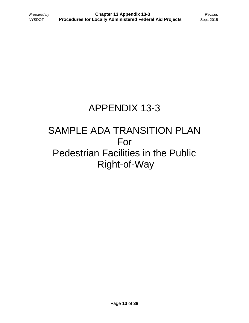### APPENDIX 13-3

### SAMPLE ADA TRANSITION PLAN For Pedestrian Facilities in the Public Right-of-Way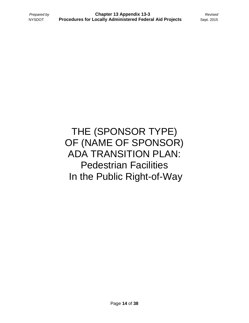THE (SPONSOR TYPE) OF (NAME OF SPONSOR) ADA TRANSITION PLAN: Pedestrian Facilities In the Public Right-of-Way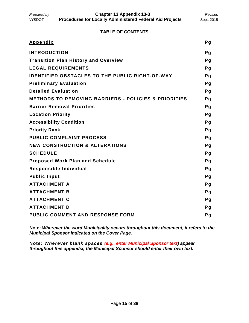*Prepared by* **Chapter 13 Appendix 13-3** *Revised* NYSDOT **Procedures for Locally Administered Federal Aid Projects** Sept. 2015

#### **TABLE OF CONTENTS**

| <b>Appendix</b>                                                 | Pg |
|-----------------------------------------------------------------|----|
| <b>INTRODUCTION</b>                                             | Pg |
| <b>Transition Plan History and Overview</b>                     | Pg |
| <b>LEGAL REQUIREMENTS</b>                                       | Pg |
| <b>IDENTIFIED OBSTACLES TO THE PUBLIC RIGHT-OF-WAY</b>          | Pg |
| <b>Preliminary Evaluation</b>                                   | Pg |
| <b>Detailed Evaluation</b>                                      | Pg |
| <b>METHODS TO REMOVING BARRIERS - POLICIES &amp; PRIORITIES</b> | Pg |
| <b>Barrier Removal Priorities</b>                               | Pg |
| <b>Location Priority</b>                                        | Pg |
| <b>Accessibility Condition</b>                                  | Pg |
| <b>Priority Rank</b>                                            | Pq |
| <b>PUBLIC COMPLAINT PROCESS</b>                                 | Pg |
| <b>NEW CONSTRUCTION &amp; ALTERATIONS</b>                       | Pg |
| <b>SCHEDULE</b>                                                 | Pg |
| <b>Proposed Work Plan and Schedule</b>                          | Pg |
| Responsible Individual                                          | Pg |
| <b>Public Input</b>                                             | Pg |
| <b>ATTACHMENT A</b>                                             | Pg |
| <b>ATTACHMENT B</b>                                             | Pg |
| <b>ATTACHMENT C</b>                                             | Pg |
| <b>ATTACHMENT D</b>                                             | Pg |
| <b>PUBLIC COMMENT AND RESPONSE FORM</b>                         | Pg |

**Note:** *Wherever the word Municipality occurs throughout this document, it refers to the Municipal Sponsor indicated on the Cover Page.* 

**Note:** *Wherever blank spaces (e.g., enter Municipal Sponsor text) appear throughout this appendix, the Municipal Sponsor should enter their own text.*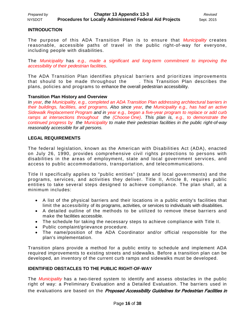#### **INTRODUCTION**

The purpose of this ADA Transition Plan is to ensure that *Municipality* creates reasonable, accessible paths of travel in the public right-of-way for everyone, including people with disabilities.

The *Municipality* has *e.g., made a significant and long-term commitment to improving the accessibility of their pedestrian facilities*.

The ADA Transition Plan identifies physical barriers and prioritizes improvements that should to be made throughout the . This Transition Plan describes the plans, policies and programs to enhance the overall pedestrian accessibility.

#### **Transition Plan History and Overview**

*In year, the Municipality, e.g., completed an ADA Transition Plan addressing architectural barriers in their buildings, facilities, and programs. Also since year, the Municipality e.g., has had an active Sidewalk Replacement Program and in year e.g., began a five-year program to replace or add curb ramps at intersections throughout the (Choose One)*. *This plan is, e.g., to demonstrate the continued progress by the Municipality to make their pedestrian facilities in the public right-of-way reasonably accessible for all persons.*

#### **LEGAL REQUIREMENTS**

The federal legislation, known as the American with Disabilities Act (ADA), enacted on July 26, 1990, provides comprehensive civil rights protections to persons with disabilities in the areas of employment, state and local government services, and access to public accommodations, transportation, and telecommunications.

Title II specifically applies to "public entities" (state and local governments) and the programs, services, and activities they deliver. Title II, Article 8, requires public entities to take several steps designed to achieve compliance. The plan shall, at a minimum includes:

- A list of the physical barriers and their locations in a public entity's facilities that limit the accessibility of its programs, activities, or services to individuals with disabilities.
- A detailed outline of the methods to be utilized to remove these barriers and make the facilities accessible.
- The schedule for taking the necessary steps to achieve compliance with Title II.
- Public complaint/grievance procedure.
- The name/position of the ADA Coordinator and/or official responsible for the plan's implementation.

Transition plans provide a method for a public entity to schedule and implement ADA required improvements to existing streets and sidewalks. Before a transition plan can be developed, an inventory of the current curb ramps and sidewalks must be developed.

#### **IDENTIFIED OBSTACLES TO THE PUBLIC RIGHT-OF-WAY**

The *Municipality* has a two-tiered system to identify and assess obstacles in the public right of way: a Preliminary Evaluation and a Detailed Evaluation. The barriers used in the evaluations are based on the Proposed Accessibility Guidelines for Pedestrian Facilities in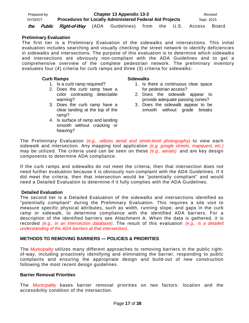| Prepared by |                                             |                                                                 | Chapter 13 Appendix 13-3 |               |            |        | Revised |
|-------------|---------------------------------------------|-----------------------------------------------------------------|--------------------------|---------------|------------|--------|---------|
| NYSDOT      |                                             | <b>Procedures for Locally Administered Federal Aid Projects</b> |                          |               | Sept. 2015 |        |         |
| the         | <i>Public Right-of-Way</i> (ADA Guidelines) |                                                                 |                          | from the U.S. |            | Access | Board   |

#### **Preliminary Evaluation**

The first tier is a Preliminary Evaluation of the sidewalks and intersections. This initial evaluation includes searching and visually checking the street network to identify deficiencies in sidewalks and intersections. The purpose of this evaluation is to determine which sidewalks and intersections are obviously non-compliant with the ADA Guidelines and to get a comprehensive overview of the complete pedestrian network. The preliminary inventory evaluates four (4) criteria for curb ramps and three (3) criteria for sidewalks:

#### **Curb Ramps**

- 1. Is a curb ramp required?
- 2. Does the curb ramp have a color contrasting detectable warning?
- 3. Does the curb ramp have a clear landing at the top of the ramp?
- 4. Is surface of ramp and landing smooth without cracking or heaving?

#### **Sidewalks**

- 1. Is there a continuous clear space for pedestrian access?
- 2. Does the sidewalk appear to provide adequate passing zones?
- 3. Does the sidewalk appear to be smooth without grade breaks

The Preliminary Evaluation *(e.g., utilizes aerial and street-level photography)* to view each sidewalk and intersection. Any mapping tool application *(e.g. google streets, mapquest, etc.)* may be utilized. The criteria used can be seen on these *(e.g., aerials)* and are key design components to determine ADA compliance.

If the curb ramps and sidewalks do not meet the criteria, then that intersection does not need further evaluation because it is obviously non-complaint with the ADA Guidelines. If it did meet the criteria, then that intersection would be "potentially compliant" and would need a Detailed Evaluation to determine if it fully complies with the ADA Guidelines.

#### **Detailed Evaluation**

The second tier is a Detailed Evaluation of the sidewalks and intersections identified as "potentially compliant" during the Preliminary Evaluation. This requires a site visit to measure specific physical attributes, such as width, running slope, and gaps in the curb ramp or sidewalk, to determine compliance with the identified ADA barriers. For a description of the identified barriers see Attachment A. When the data is gathered, it is recorded *(e.g., in an intersection database)*. The result of this evaluation *(e.g., is a detailed understanding of the ADA barriers at that intersection)*.

#### **METHODS TO REMOVING BARRIERS — POLICIES & PRIORITIES**

The *Municipality* utilizes many different approaches to removing barriers in the public rightof-way, including proactively identifying and eliminating the barrier, responding to public complaints and ensuring the appropriate design and build-out of new construction following the most recent design guidelines.

#### **Barrier Removal Priorities**

The *Municipality* bases barrier removal priorities on two factors: location and the accessibility condition of the intersection.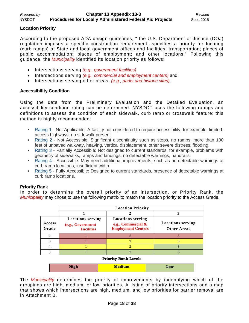#### **Location Priority**

According to the proposed ADA design guidelines, " the U.S. Department of Justice (DOJ) regulation imposes a specific construction requirement...specifies a priority for locating (curb ramps) at State and local government offices and facilities; transportation; places of public accommodation; places of employment; and other locations." Following this guidance, the *Municipality* identified its location priority as follows:

- Intersections serving *(e.g., government facilities)*,
- Intersections serving *(e.g., commercial and employment centers)* and
- Intersections serving other areas, *(e.g., parks and historic sites)*.

#### **Accessibility Condition**

Using the data from the Preliminary Evaluation and the Detailed Evaluation, an accessibility condition rating can be determined. NYSDOT uses the following ratings and definitions to assess the condition of each sidewalk, curb ramp or crosswalk feature; this method is highly recommended:

- [Rating 1](https://www.dot.ny.gov/programs/adamanagement/ada-transition-plan/appendices/rating-scale#rating1) Not Applicable: A facility not considered to require accessibility, for example, limitedaccess highways, no sidewalk present.
- [Rating 2](https://www.dot.ny.gov/programs/adamanagement/ada-transition-plan/appendices/rating-scale#rating2) Not Accessible: Significant discontinuity such as steps, no ramps, more than 100 feet of unpaved walkway, heaving, vertical displacement, other severe distress, flooding.
- [Rating 3](https://www.dot.ny.gov/programs/adamanagement/ada-transition-plan/appendices/rating-scale#rating3) Partially Accessible: Not designed to current standards, for example, problems with geometry of sidewalks, ramps and landings, no detectable warnings, handrails.
- [Rating 4](https://www.dot.ny.gov/programs/adamanagement/ada-transition-plan/appendices/rating-scale#rating4) Accessible: May need additional improvements, such as no detectable warnings at curb ramp locations, insufficient width.
- [Rating 5](https://www.dot.ny.gov/programs/adamanagement/ada-transition-plan/appendices/rating-scale#rating5) Fully Accessible: Designed to current standards, presence of detectable warnings at curb ramp locations.

#### **Priority Rank**

In order to determine the overall priority of an intersection, or Priority Rank, the *Municipality* may chose to use the following matrix to match the location priority to the Access Grade.

|                 |                                                                    | <b>Location Priority</b>                                                    |                                                |
|-----------------|--------------------------------------------------------------------|-----------------------------------------------------------------------------|------------------------------------------------|
|                 |                                                                    |                                                                             |                                                |
| Access<br>Grade | <b>Locations serving</b><br>(e.g., Government<br><b>Facilities</b> | <b>Locations serving</b><br>e.g., Commercial &<br><b>Employment Centers</b> | <b>Locations serving</b><br><b>Other Areas</b> |
|                 |                                                                    |                                                                             |                                                |
|                 |                                                                    |                                                                             |                                                |
|                 |                                                                    |                                                                             |                                                |
|                 |                                                                    |                                                                             |                                                |

#### **Priority Rank Levels**

| <b>High</b> | <b>Medium</b> | Low |
|-------------|---------------|-----|
|-------------|---------------|-----|

The *Municipality* determines the priority of improvements by indentifying which of the groupings are high, medium, or low priorities. A listing of priority intersections and a map that shows which intersections are high, medium, and low priorities for barrier removal are in Attachment B.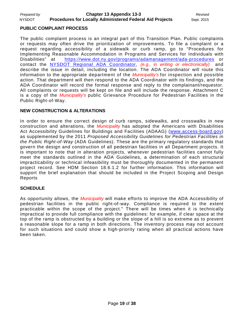#### **PUBLIC COMPLAINT PROCESS**

The public complaint process is an integral part of this Transition Plan. Public complaints or requests may often drive the prioritization of improvements. To file a complaint or a request regarding accessibility of a sidewalk or curb ramp, go to "Procedures for Implementing Reasonable Accommodation in Programs and Services for Individuals with Disabilities" at <https://www.dot.ny.gov/programs/adamanagement/ada-procedures> or contact the [NYSDOT Regional ADA Coordinator,](https://www.dot.ny.gov/programs/adamanagement/contact) *(e.g., in writing or electronically)* and describe the issue in detail, including the location. The ADA Coordinator will route this information to the appropriate department of the *Municipality's* for inspection and possible action. That department will then respond to the ADA Coordinator with its findings, and the ADA Coordinator will record the formal response and reply to the complainant/requestor. All complaints or requests will be kept on file and will include the response. Attachment C is a copy of the *Municipality's* public Grievance Procedure for Pedestrian Facilities in the Public Right-of-Way.

#### **NEW CONSTRUCTION & ALTERATIONS**

In order to ensure the correct design of curb ramps, sidewalks, and crosswalks in new construction and alterations, the *Municipality* has adopted the Americans with Disabilities Act Accessibility Guidelines for Buildings and Facilities (ADAAG) [\(www.access-board.gov\)](http://www.access-board.gov/) as supplemented by the 2011 *Proposed Accessibility Guidelines for Pedestrian Facilities in the Public Right-of-Way* (ADA Guidelines). These are the primary regulatory standards that govern the design and construction of all pedestrian facilities in all Department projects. It is important to note that in alteration projects, whenever pedestrian facilities cannot fully meet the standards outlined in the ADA Guidelines, a determination of each structural impracticability or technical infeasibility must be thoroughly documented in the permanent project record. See HDM Section 18.6.1.2 for further information. This information will support the brief explanation that should be included in the Project Scoping and Design Reports

#### **SCHEDULE**

As opportunity allows, the *Municipality* will make efforts to improve the ADA Accessibility of pedestrian facilities in the public right-of-way. Compliance is required to the extent practicable within the scope of the project." There will be times when it is technically impractical to provide full compliance with the guidelines: for example, if clear space at the top of the ramp is obstructed by a building or the slope of a hill is so extreme as to prevent a reasonable slope for a ramp in both directions. The inventory process may not account for such situations and could show a high-priority rating when all practical actions have been taken.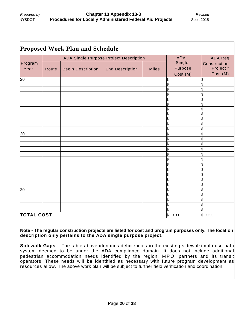|                   |                                        | <b>Proposed Work Plan and Schedule</b> |                        |              |            |            |
|-------------------|----------------------------------------|----------------------------------------|------------------------|--------------|------------|------------|
|                   | ADA Single Purpose Project Description |                                        |                        |              | <b>ADA</b> | ADA Reg.   |
| Program           |                                        |                                        | Single                 | Construction |            |            |
| Year              | Route                                  | <b>Begin Description</b>               | <b>End Description</b> | <b>Miles</b> | Purpose    | Project *  |
|                   |                                        |                                        |                        |              | Cost (M)   | Cost (M)   |
| $\overline{20}$   |                                        |                                        |                        |              | S          |            |
|                   |                                        |                                        |                        |              |            |            |
|                   |                                        |                                        |                        |              |            |            |
|                   |                                        |                                        |                        |              |            |            |
|                   |                                        |                                        |                        |              | \$         |            |
|                   |                                        |                                        |                        |              | \$         |            |
|                   |                                        |                                        |                        |              | \$         |            |
|                   |                                        |                                        |                        |              | \$         |            |
|                   |                                        |                                        |                        |              |            |            |
|                   |                                        |                                        |                        |              | \$         |            |
|                   |                                        |                                        |                        |              |            |            |
| $\overline{20}$   |                                        |                                        |                        |              |            |            |
|                   |                                        |                                        |                        |              |            |            |
|                   |                                        |                                        |                        |              |            |            |
|                   |                                        |                                        |                        |              |            |            |
|                   |                                        |                                        |                        |              |            |            |
|                   |                                        |                                        |                        |              |            |            |
|                   |                                        |                                        |                        |              |            |            |
|                   |                                        |                                        |                        |              |            |            |
|                   |                                        |                                        |                        |              |            |            |
|                   |                                        |                                        |                        |              |            |            |
|                   |                                        |                                        |                        |              | \$         | \$         |
| $\overline{20}$   |                                        |                                        |                        |              | \$         | \$         |
|                   |                                        |                                        |                        |              | \$         | \$         |
|                   |                                        |                                        |                        |              | \$         |            |
|                   |                                        |                                        |                        |              |            |            |
|                   |                                        |                                        |                        |              |            | \$         |
| <b>TOTAL COST</b> |                                        |                                        |                        |              | \$<br>0.00 | \$<br>0.00 |

**Note - The regular construction projects are listed for cost and program purposes only. The location description only pertains to the ADA single purpose project.**

**Sidewalk Gaps –** The table above identities deficiencies **in** the existing sidewalk/multi-use path system deemed to be under the ADA compliance domain. It does not include additional pedestrian accommodation needs identified by the region, MPO partners and its transit operators. These needs will **be** identified as necessary with future program development as resources allow. The above work plan will be subject to further field verification and coordination.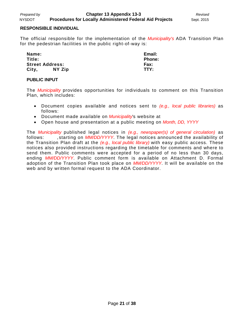#### **RESPONSIBLE INDIVIDUAL**

The official responsible for the implementation of the *Municipality's* ADA Transition Plan for the pedestrian facilities in the public right-of-way is:

| Name:  |                        | Email:        |
|--------|------------------------|---------------|
| Title: |                        | <b>Phone:</b> |
|        | <b>Street Address:</b> | Fax:          |
| City,  | NY Zip                 | TTY:          |

#### **PUBLIC INPUT**

The *Municipality* provides opportunities for individuals to comment on this Transition Plan, which includes:

- Document copies available and notices sent to *(e.g., local public libraries)* as follows:
- Document made available on *Municipality*'s website at
- Open house and presentation at a public meeting on *Month, DD, YYYY*

The *Municipality* published legal notices in *(e.g., newspaper(s) of general circulation)* as follows: , starting on *MM/DD/YYYY*. The legal notices announced the availability of the Transition Plan draft at the *(e.g., local public library)* with easy public access. These notices also provided instructions regarding the timetable for comments and where to send them. Public comments were accepted for a period of no less than 30 days, ending *MM/DD/YYYY*. Public comment form is available on Attachment D. Formal adoption of the Transition Plan took place on *MM/DD/YYYY*. It will be available on the web and by written formal request to the ADA Coordinator.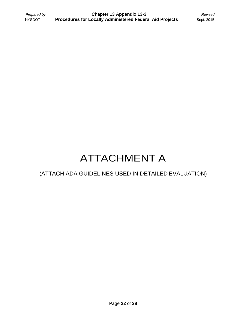## ATTACHMENT A

### (ATTACH ADA GUIDELINES USED IN DETAILED EVALUATION)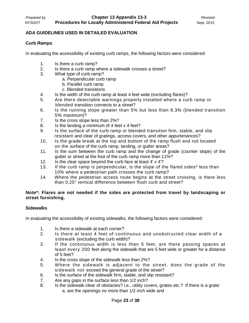#### **ADA GUIDELINES USED IN DETAILED EVALUATION**

#### **Curb Ramps**

In evaluating the accessibility of existing curb ramps, the following factors were considered:

- 1. Is there a curb ramp?<br>2. Is there a curb ramp w
- Is there a curb ramp where a sidewalk crosses a street?
- 3. What type of curb ramp?
	- a. Perpendicular curb ramp
		- b. Parallel curb ramp
		- c. Blended transitions
- 4. Is the width of the curb ramp at least 4 feet wide (excluding flares)?
- 5. Are there detectable warnings properly installed where a curb ramp or blended transition connects to a street?
- 6. Is the running slope greater than 5% but less than 8.3% (blended transition 5% maximum)?
- 7. Is the cross slope less than 2%?
- 8. Is the landing a minimum of 4 feet x 4 feet?
- 9. Is the surface of the curb ramp or blended transition firm, stable, and slip resistant and clear of gratings, access covers, and other appurtenances?
- 10. Is the grade break at the top and bottom of the ramp flush and not located on the surface of the curb ramp, landing, or gutter areas?
- 11. Is the sum between the curb ramp and the change of grade (counter slope) of the gutter or street at the foot of the curb ramp more than 11%?
- 12. Is the clear space beyond the curb face at least 4' x 4'?
- 13. If the curb ramp is perpendicular, is the slope of the flared sides\* less than 10% where a pedestrian path crosses the curb ramp?
- 14. Where the pedestrian access route begins at the street crossing, is there less than 0.25" vertical difference between flush curb and street?

#### **Note\*: Flares are not needed if the sides are protected from travel by landscaping or street furnishing.**

#### **Sidewalks**

In evaluating the accessibility of existing sidewalks, the following factors were considered:

- 1. Is there a sidewalk at each corner?
- 2. Is there at least 4 feet of continuous and unobstructed clear width of a sidewalk (excluding the curb width)?
- 3. If the continuous width is less than 5 feet, are there passing spaces at least every 200 feet along the sidewalk that are 5 feet wide or greater for a distance of 5 feet?
- 4. Is the cross slope of the sidewalk less than 2%?
- 5. Where the sidewalk is adjacent to the street, does the grade of the sidewalk not exceed the general grade of the street?
- 6. Is the surface of the sidewalk firm, stable, and slip resistant?
- 7. Are any gaps in the surface less than 1/2 inch?
- 8. Is the sidewalk clear of obstacles? i.e., utility covers, grates etc.? If there is a grate: a. are the openings no more than 1/2 inch wide and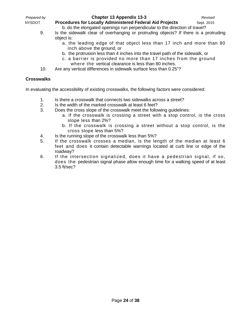| Prepared by   | Chapter 13 Appendix 13-3                                                   | Revised    |
|---------------|----------------------------------------------------------------------------|------------|
| <b>NYSDOT</b> | <b>Procedures for Locally Administered Federal Aid Projects</b>            | Sept. 2015 |
|               | b. do the elongated openings run perpendicular to the direction of travel? |            |

- 9. Is the sidewalk clear of overhanging or protruding objects? If there is a protruding object is:
	- a. the leading edge of that object less than 17 inch and more than 80 inch above the ground, or
	- b. the protrusion less than 4 inches into the travel path of the sidewalk, or
	- c. a barrier is provided no more than 17 inches from the ground where the vertical clearance is less than 80 inches.
- 10. Are any vertical differences in sidewalk surface less than 0.25"?

#### **Crosswalks**

In evaluating the accessibility of existing crosswalks, the following factors were considered:

- 1. Is there a crosswalk that connects two sidewalks across a street?
- 2. Is the width of the marked crosswalk at least 6 feet?
- 3. Does the cross slope of the crosswalk meet the following guidelines:
	- a. If the crosswalk is crossing a street with a stop control, is the cross slope less than 2%?
	- b. If the crosswalk is crossing a street without a stop control, is the cross slope less than 5%?
- 4. Is the running slope of the crosswalk less than 5%?
- 5. If the crosswalk crosses a median, is the length of the median at least 6 feet and does it contain detectable warnings located at curb line or edge of the roadway?
- 6. If the intersection signalized, does it have a pedestrian signal, if so, does the pedestrian signal phase allow enough time for a walking speed of at least 3.5 ft/sec?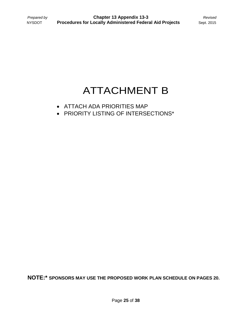### ATTACHMENT B

- ATTACH ADA PRIORITIES MAP
- PRIORITY LISTING OF INTERSECTIONS\*

**NOTE:\* SPONSORS MAY USE THE PROPOSED WORK PLAN SCHEDULE ON PAGES 20.**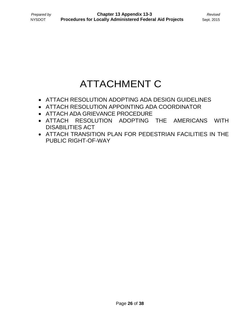### ATTACHMENT C

- ATTACH RESOLUTION ADOPTING ADA DESIGN GUIDELINES
- ATTACH RESOLUTION APPOINTING ADA COORDINATOR
- ATTACH ADA GRIEVANCE PROCEDURE
- ATTACH RESOLUTION ADOPTING THE AMERICANS WITH DISABILITIES ACT
- ATTACH TRANSITION PLAN FOR PEDESTRIAN FACILITIES IN THE PUBLIC RIGHT-OF-WAY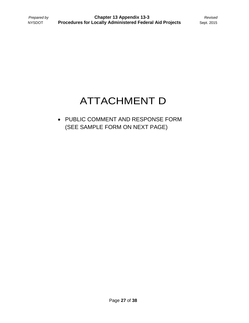## ATTACHMENT D

#### • PUBLIC COMMENT AND RESPONSE FORM (SEE SAMPLE FORM ON NEXT PAGE)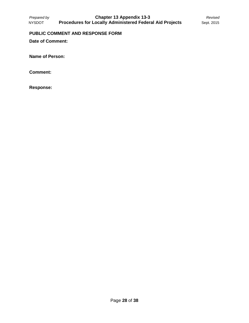#### **PUBLIC COMMENT AND RESPONSE FORM**

**Date of Comment:** 

**Name of Person:**

**Comment:**

**Response:**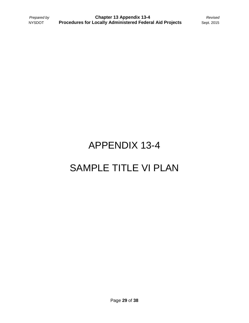# APPENDIX 13-4 SAMPLE TITLE VI PLAN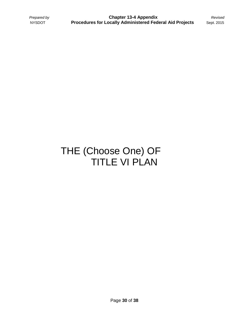### THE (Choose One) OF TITLE VI PLAN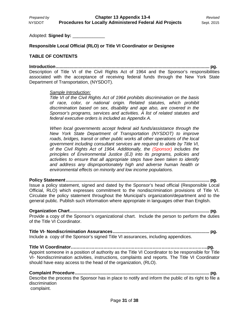Adopted: **Signed by:** \_\_\_\_\_\_\_\_\_\_\_\_\_

**Responsible Local Official (RLO) or Title VI Coordinator or Designee**

#### **TABLE OF CONTENTS**

**Introduction......................................................................................................................... pg.** Description of Title VI of the Civil Rights Act of 1964 and the Sponsor's responsibilities associated with the acceptance of receiving federal funds through the New York State Department of Transportation, (NYSDOT).

#### *Sample Introduction:*

*Title VI of the Civil Rights Act of 1964 prohibits discrimination on the basis of race, color, or national origin. Related statutes, which prohibit discrimination based on sex, disability and age also, are covered in the Sponsor's programs, services and activities. A list of related statutes and federal executive orders is included as Appendix A.* 

*When local governments accept federal aid funds/assistance through the New York State Department of Transportation (NYSDOT) to improve roads, bridges, transit or other public works all other operations of the local government including consultant services are required to abide by Title VI, of the Civil Rights Act of 1964. Additionally, the (Sponsor) includes the principles of Environmental Justice (EJ) into its programs, policies and activities to ensure that all appropriate steps have been taken to identify and address any disproportionately high and adverse human health or environmental effects on minority and low income populations.*

**Policy Statement................................................................................................................. pg.** Issue a policy statement, signed and dated by the Sponsor's head official (Responsible Local Official, RLO) which expresses commitment to the nondiscrimination provisions of Title VI. Circulate the policy statement throughout the Municipal's organization/department and to the general public. Publish such information where appropriate in languages other than English.

**Organization Chart.............................................................................................................. pg.** Provide a copy of the Sponsor's organizational chart. Include the person to perform the duties of the Title VI Coordinator.

**Title VI- Nondiscrimination Assurances............................................................................ pg.** Include a copy of the Sponsor's signed Title VI assurances, including appendices.

**Title VI Coordinator….…………………………………………………………………………….pg.** Appoint someone in a position of authority as the Title VI Coordinator to be responsible for Title VI- Nondiscrimination activities, instructions, complaints and reports. The Title VI Coordinator should have easy access to the head of the organization, (RLO).

**Complaint Procedure.......................................................................................................... pg.** Describe the process the Sponsor has in place to notify and inform the public of its right to file a discrimination complaint.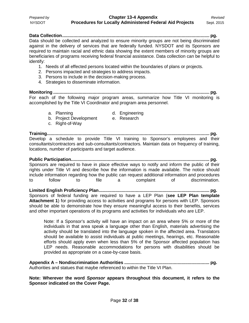**Data Collection.................................................................................................................... pg.** Data should be collected and analyzed to ensure minority groups are not being discriminated against in the delivery of services that are federally funded. NYSDOT and its Sponsors are required to maintain racial and ethnic data showing the extent members of minority groups are beneficiaries of programs receiving federal financial assistance. Data collection can be helpful to identify:

- 1. Needs of all effected persons located within the boundaries of plans or projects.
- 2. Persons impacted and strategies to address impacts.
- 3. Persons to include in the decision-making process.
- 4. Strategies to disseminate information.

**Monitoring ........................................................................................................................... pg.** For each of the following major program areas, summarize how Title VI monitoring is accomplished by the Title VI Coordinator and program area personnel.

- 
- a. Planning and Engineering
- b. Project Development e. Research
- c. Right-of-Way
- 

**Training................................................................................................................................ pg.** Develop a schedule to provide Title VI training to Sponsor's employees and their consultants/contractors and sub-consultants/contractors. Maintain data on frequency of training, locations, number of participants and target audience.

**Public Participation............................................................................................................. pg.** Sponsors are required to have in place effective ways to notify and inform the public of their rights under Title VI and describe how the information is made available. The notice should include information regarding how the public can request additional information and procedures<br>to follow to file a complaint of discrimination. to follow to file a complaint of discrimination.

**Limited English Proficiency Plan....................................................................................... pg.** Sponsors of federal funding are required to have a LEP Plan (**see LEP Plan template Attachment 1**) for providing access to activities and programs for persons with LEP. Sponsors should be able to demonstrate how they ensure meaningful access to their benefits, services and other important operations of its programs and activities for individuals who are LEP.

Note: If a Sponsor's activity will have an impact on an area where 5% or more of the individuals in that area speak a language other than English, materials advertising the activity should be translated into the language spoken in the affected area. Translators should be available to assist individuals at public meetings, hearings, etc. Reasonable efforts should apply even when less than 5% of the Sponsor affected population has LEP needs. Reasonable accommodations for persons with disabilities should be provided as appropriate on a case-by-case basis.

**Appendix A – Nondiscrimination Authorities ................................................................... pg.** Authorities and statues that maybe referenced to within the Title VI Plan.

**Note: Wherever the word** *Sponsor* **appears throughout this document, it refers to the Sponsor indicated on the Cover Page.**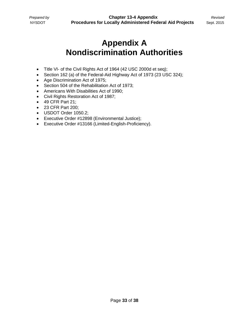### **Appendix A Nondiscrimination Authorities**

- Title VI- of the Civil Rights Act of 1964 (42 USC 2000d et seq);
- Section 162 (a) of the Federal-Aid Highway Act of 1973 (23 USC 324);
- Age Discrimination Act of 1975;
- Section 504 of the Rehabilitation Act of 1973;
- Americans With Disabilities Act of 1990;
- Civil Rights Restoration Act of 1987;
- 49 CFR Part 21;
- 23 CFR Part 200;
- USDOT Order 1050.2;
- Executive Order #12898 (Environmental Justice);
- Executive Order #13166 (Limited-English-Proficiency).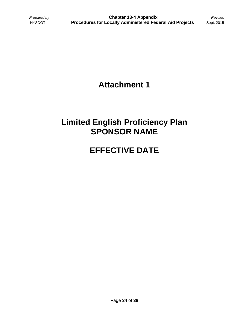### **Attachment 1**

### **Limited English Proficiency Plan SPONSOR NAME**

### **EFFECTIVE DATE**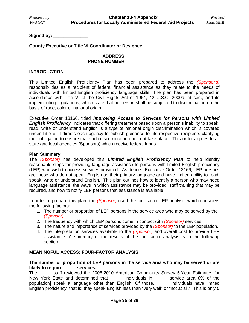Signed by: **and a** 

#### **County Executive or Title VI Coordinator or Designee**

#### **ADDRESS PHONE NUMBER**

#### **INTRODUCTION**

This Limited English Proficiency Plan has been prepared to address the *(Sponsor's)* responsibilities as a recipient of federal financial assistance as they relate to the needs of individuals with limited English proficiency language skills. The plan has been prepared in accordance with Title VI of the Civil Rights Act of 1964, 42 U.S.C. 2000d, et seq., and its implementing regulations, which state that no person shall be subjected to discrimination on the basis of race, color or national origin.

Executive Order 13166, titled *Improving Access to Services for Persons with Limited English Proficiency,* indicates that differing treatment based upon a person's inability to speak, read, write or understand English is a type of national origin discrimination which is covered under Title VI It directs each agency to publish guidance for its respective recipients clarifying their obligation to ensure that such discrimination does not take place. This order applies to all state and local agencies (Sponsors) which receive federal funds.

#### **Plan Summary**

The *(Sponsor)* has developed this *Limited English Proficiency Plan* to help identify reasonable steps for providing language assistance to persons with limited English proficiency (LEP) who wish to access services provided. As defined Executive Order 13166, LEP persons are those who do not speak English as their primary language and have limited ability to read, speak, write or understand English. This plan outlines how to identify a person who may need language assistance, the ways in which assistance may be provided, staff training that may be required, and how to notify LEP persons that assistance is available.

In order to prepare this plan, the *(Sponsor)* used the four-factor LEP analysis which considers the following factors:

- 1. The number or proportion of LEP persons in the service area who may be served by the *(Sponsor)*.
- 2. The frequency with which LEP persons come in contact with *(Sponsor)* services.
- 3. The nature and importance of services provided by the *(Sponsor)* to the LEP population.
- 4. The interpretation services available to the *(Sponsor)* and overall cost to provide LEP assistance. A summary of the results of the four-factor analysis is in the following section.

#### **MEANINGFUL ACCESS: FOUR-FACTOR ANALYSIS**

#### **The number or proportion of LEP persons in the service area who may be served or are likely to require**

The staff reviewed the 2006-2010 American Community Survey 5-Year Estimates for New York State and determined that individuals in service area *0***%** of the population] speak a language other than English. Of those, individuals have limited English proficiency; that is; they speak English less than "very well" or "not at all." This is only *0*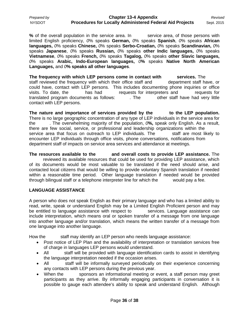| Prepared by   | <b>Chapter 13-4 Appendix</b>                                    | Revisea    |
|---------------|-----------------------------------------------------------------|------------|
| <b>NYSDOT</b> | <b>Procedures for Locally Administered Federal Aid Projects</b> | Sept. 2015 |

**%** of the overall population in the service area. In service area, of those persons with limited English proficiency, *0*% speaks **German,** *0*% speaks **Spanish**, *0*% speaks **African languages,** *0*% speaks **Chinese,** *0*% speaks **Serbo-Croatian,** *0*% speaks **Scandinavian,** *0*% speaks **Japanese**, *0*% speaks **Russian,** *0*% speaks **other Indic languages,** *0*% speaks **Vietnamese**, *0*% speaks **French,** *0*% speaks **Tagalog,** *0*% speaks **other Slavic languages,** *0*% speaks **Arabic, Indo-European languages,** *0***%** speaks **Native North American Languages,** and *0***% speaks all other languages**.

**The frequency with which LEP persons come in contact with services.** The staff reviewed the frequency with which their office staff and department staff have, or could have, contact with LEP persons. This includes documenting phone inquiries or office visits. To date, the has had requests for interpreters and requests for translated program documents as follows: The other staff have had very little translated program documents as follows: . . . The contact with LEP persons.

**The nature and importance of services provided by the to the LEP population.**  There is no large geographic concentration of any type of LEP individuals in the service area for the  $\sim$  The overwhelming majority of the population.  $O\%$ , speak only English. As a result. . The overwhelming majority of the population,  $O$ %, speak only English. As a result, there are few social, service, or professional and leadership organizations within the service area that focus on outreach to LEP individuals. The staff are most likely to encounter LEP individuals through office visits, phone conversations, notifications from department staff of impacts on service area services and attendance at meetings.

**The resources available to the and overall costs to provide LEP assistance.** The reviewed its available resources that could be used for providing LEP assistance, which of its documents would be most valuable to be translated if the need should arise, and contacted local citizens that would be willing to provide voluntary Spanish translation if needed within a reasonable time period. Other language translation if needed would be provided through bilingual staff or a telephone interpreter line for which the would pay a fee.

#### **LANGUAGE ASSISTANCE**

A person who does not speak English as their primary language and who has a limited ability to read, write, speak or understand English may be a Limited English Proficient person and may be entitled to language assistance with respect to services. Language assistance can include interpretation, which means oral or spoken transfer of a message from one language into another language and/or translation, which means the written transfer of a message from one language into another language.

How the staff may identify an LEP person who needs language assistance:

- Post notice of LEP Plan and the availability of interpretation or translation services free of charge in languages LEP persons would understand.
- All staff will be provided with language identification cards to assist in identifying the language interpretation needed if the occasion arises.
- All staff will be informally surveyed periodically on their experience concerning any contacts with LEP persons during the previous year.
- When the sponsors an informational meeting or event, a staff person may greet participants as they arrive. By informally engaging participants in conversation it is possible to gauge each attendee's ability to speak and understand English. Although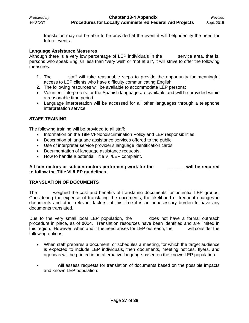translation may not be able to be provided at the event it will help identify the need for future events.

#### **Language Assistance Measures**

Although there is a very low percentage of LEP individuals in the service area, that is, persons who speak English less than "very well" or "not at all", it will strive to offer the following measures:

- **1.** The staff will take reasonable steps to provide the opportunity for meaningful access to LEP clients who have difficulty communicating English.
- **2.** The following resources will be available to accommodate LEP persons:
- Volunteer interpreters for the Spanish language are available and will be provided within a reasonable time period.
- Language interpretation will be accessed for all other languages through a telephone interpretation service.

#### **STAFF TRAINING**

The following training will be provided to all staff:

- Information on the Title VI-Nondiscrimination Policy and LEP responsibilities.
- Description of language assistance services offered to the public.
- Use of interpreter service provider's language identification cards.
- Documentation of language assistance requests.
- How to handle a potential Title VI /LEP complaint.

#### **All contractors or subcontractors performing work for the** \_\_\_\_\_\_\_ **will be required to follow the Title VI /LEP guidelines.**

#### **TRANSLATION OF DOCUMENTS**

The weighed the cost and benefits of translating documents for potential LEP groups. Considering the expense of translating the documents, the likelihood of frequent changes in documents and other relevant factors, at this time it is an unnecessary burden to have any documents translated.

Due to the very small local LEP population, the does not have a formal outreach procedure in place, as of **2014**. Translation resources have been identified and are limited in this region. However, when and if the need arises for LEP outreach, the will consider the following options:

- When staff prepares a document, or schedules a meeting, for which the target audience is expected to include LEP individuals, then documents, meeting notices, flyers, and agendas will be printed in an alternative language based on the known LEP population.
- will assess requests for translation of documents based on the possible impacts and known LEP population.